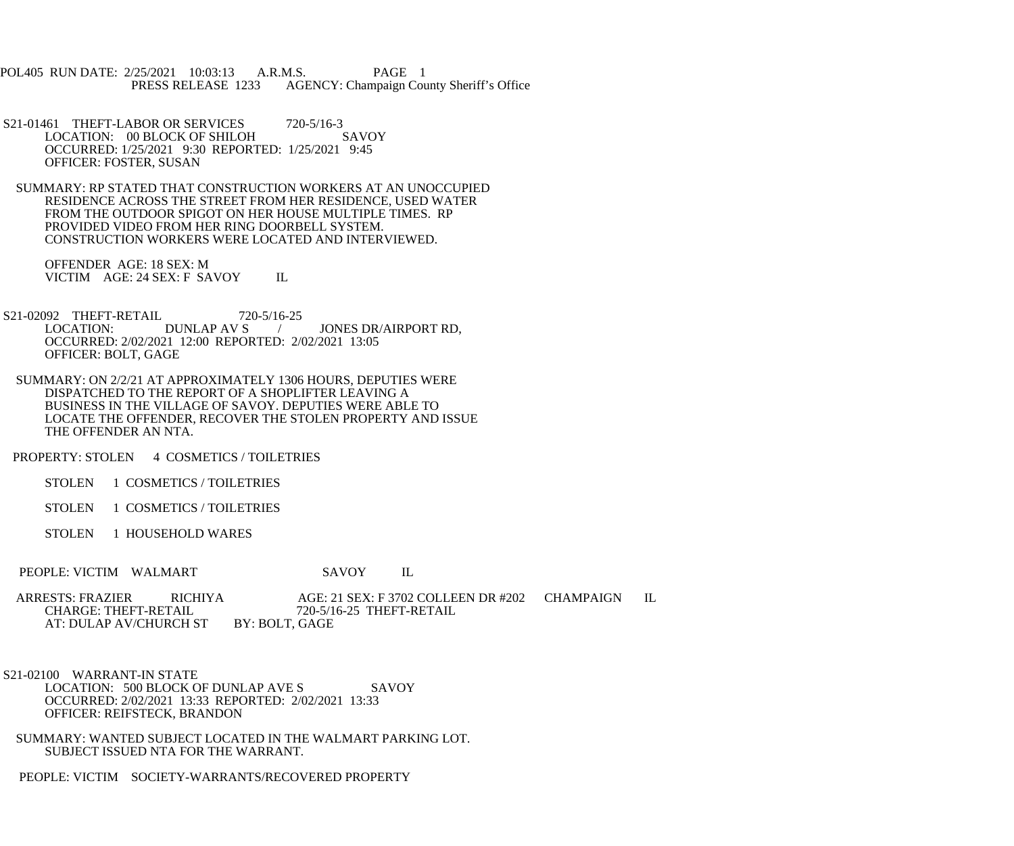POL405 RUN DATE: 2/25/2021 10:03:13 A.R.M.S. PAGE 1<br>PRESS RELEASE 1233 AGENCY: Champaign Cou AGENCY: Champaign County Sheriff's Office

- S21-01461 THEFT-LABOR OR SERVICES 720-5/16-3<br>LOCATION: 00 BLOCK OF SHILOH SAVOY LOCATION: 00 BLOCK OF SHILOH OCCURRED: 1/25/2021 9:30 REPORTED: 1/25/2021 9:45 OFFICER: FOSTER, SUSAN
- SUMMARY: RP STATED THAT CONSTRUCTION WORKERS AT AN UNOCCUPIED RESIDENCE ACROSS THE STREET FROM HER RESIDENCE, USED WATER FROM THE OUTDOOR SPIGOT ON HER HOUSE MULTIPLE TIMES. RP PROVIDED VIDEO FROM HER RING DOORBELL SYSTEM. CONSTRUCTION WORKERS WERE LOCATED AND INTERVIEWED.

 OFFENDER AGE: 18 SEX: M VICTIM AGE: 24 SEX: F SAVOY IL

- S21-02092 THEFT-RETAIL 720-5/16-25<br>LOCATION: DUNLAP AV S / JONES DR/AIRPORT RD, OCCURRED: 2/02/2021 12:00 REPORTED: 2/02/2021 13:05 OFFICER: BOLT, GAGE
- SUMMARY: ON 2/2/21 AT APPROXIMATELY 1306 HOURS, DEPUTIES WERE DISPATCHED TO THE REPORT OF A SHOPLIFTER LEAVING A BUSINESS IN THE VILLAGE OF SAVOY. DEPUTIES WERE ABLE TO LOCATE THE OFFENDER, RECOVER THE STOLEN PROPERTY AND ISSUE THE OFFENDER AN NTA.

PROPERTY: STOLEN 4 COSMETICS / TOILETRIES

- STOLEN 1 COSMETICS / TOILETRIES
- STOLEN 1 COSMETICS / TOILETRIES
- STOLEN 1 HOUSEHOLD WARES
- PEOPLE: VICTIM WALMART SAVOY IL
- ARRESTS: FRAZIER RICHIYA AGE: 21 SEX: F 3702 COLLEEN DR #202 CHAMPAIGN IL CHARGE: THEFT-RETAIL 720-5/16-25 THEFT-RETAIL  $720-5/16-25$  THEFT-RETAIL BY: BOLT, GAGE AT: DULAP AV/CHURCH ST
- S21-02100 WARRANT-IN STATE LOCATION: 500 BLOCK OF DUNLAP AVE S SAVOY OCCURRED: 2/02/2021 13:33 REPORTED: 2/02/2021 13:33 OFFICER: REIFSTECK, BRANDON
- SUMMARY: WANTED SUBJECT LOCATED IN THE WALMART PARKING LOT. SUBJECT ISSUED NTA FOR THE WARRANT.
- PEOPLE: VICTIM SOCIETY-WARRANTS/RECOVERED PROPERTY